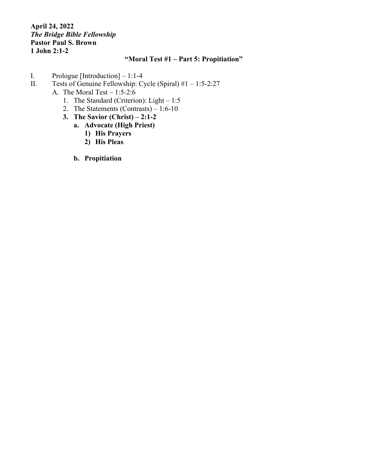## **April 24, 2022** *The Bridge Bible Fellowship* **Pastor Paul S. Brown 1 John 2:1-2**

## **"Moral Test #1 – Part 5: Propitiation"**

- I. Prologue [Introduction] 1:1-4<br>II. Tests of Genuine Fellowship: C
- Tests of Genuine Fellowship: Cycle (Spiral)  $#1 1:5-2:27$ 
	- A. The Moral Test  $-1:5-2:6$ 
		- 1. The Standard (Criterion): Light 1:5
		- 2. The Statements (Contrasts) 1:6-10
		- **3. The Savior (Christ) – 2:1-2**
			- **a. Advocate (High Priest)**
				- **1) His Prayers**
				- **2) His Pleas**
				- **b. Propitiation**